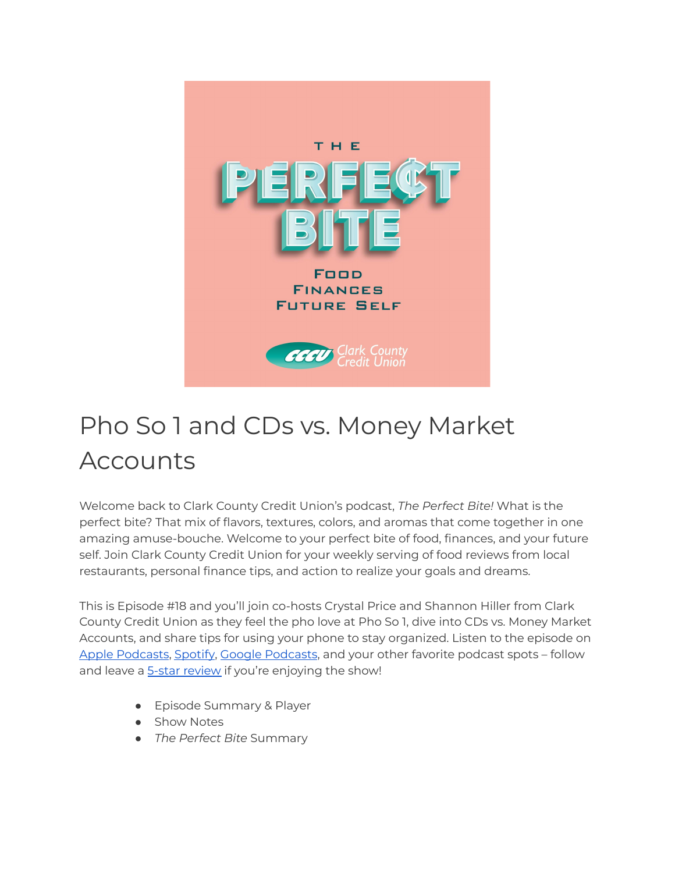

## Pho So 1 and CDs vs. Money Market Accounts

Welcome back to Clark County Credit Union's podcast, *The Perfect Bite!* What is the perfect bite? That mix of flavors, textures, colors, and aromas that come together in one amazing amuse-bouche. Welcome to your perfect bite of food, finances, and your future self. Join Clark County Credit Union for your weekly serving of food reviews from local restaurants, personal finance tips, and action to realize your goals and dreams.

This is Episode #18 and you'll join co-hosts Crystal Price and Shannon Hiller from Clark County Credit Union as they feel the pho love at Pho So 1, dive into CDs vs. Money Market Accounts, and share tips for using your phone to stay organized. Listen to the episode on Apple [Podcasts](https://podcasts.google.com/feed/aHR0cHM6Ly9wZXJmZWN0Yml0ZS5saWJzeW4uY29tL3Jzcw?sa=X&ved=0CAMQ4aUDahcKEwi47ZHlgPP1AhUAAAAAHQAAAAAQRA), [Spotify,](https://open.spotify.com/show/7tNPJZBNHabGWEFmjnHaxR?si=a0a7808911264628) Google Podcasts, and your other favorite podcast spots - follow and leave a **5-star [review](https://podcasts.apple.com/us/podcast/the-perfect-bite/id1604656448)** if you're enjoying the show!

- Episode Summary & Player
- Show Notes
- *The Perfect Bite* Summary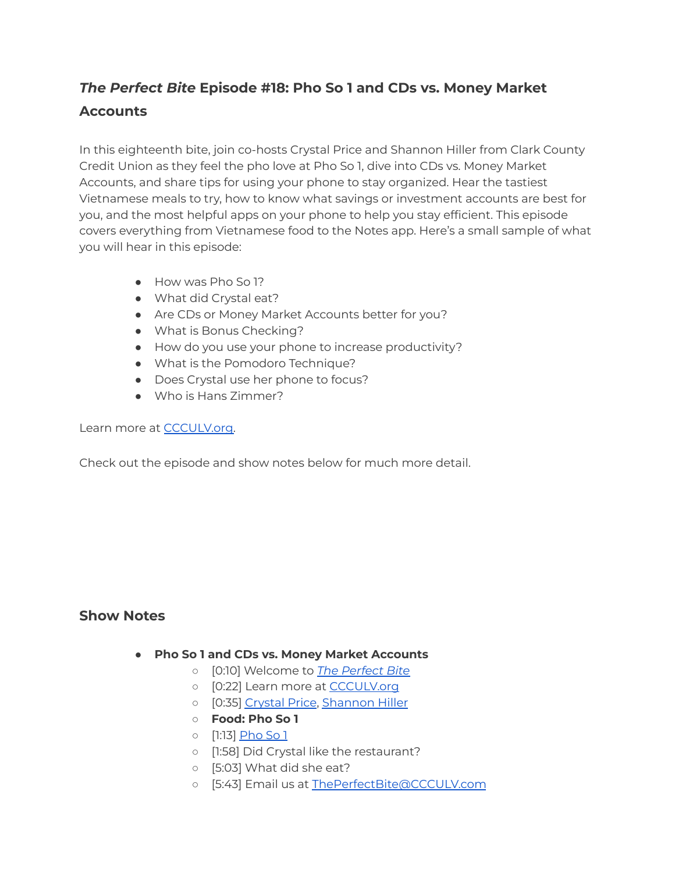## *The Perfect Bite* **Episode #18: Pho So 1 and CDs vs. Money Market Accounts**

In this eighteenth bite, join co-hosts Crystal Price and Shannon Hiller from Clark County Credit Union as they feel the pho love at Pho So 1, dive into CDs vs. Money Market Accounts, and share tips for using your phone to stay organized. Hear the tastiest Vietnamese meals to try, how to know what savings or investment accounts are best for you, and the most helpful apps on your phone to help you stay efficient. This episode covers everything from Vietnamese food to the Notes app. Here's a small sample of what you will hear in this episode:

- How was Pho So 1?
- What did Crystal eat?
- Are CDs or Money Market Accounts better for you?
- What is Bonus Checking?
- How do you use your phone to increase productivity?
- What is the Pomodoro Technique?
- Does Crystal use her phone to focus?
- Who is Hans Zimmer?

Learn more at [CCCULV.org.](https://www.ccculv.org/)

Check out the episode and show notes below for much more detail.

## **Show Notes**

- **Pho So 1 and CDs vs. Money Market Accounts**
	- [0:10] Welcome to *[The Perfect Bite](https://www.ccculv.org/)*
	- [0:22] Learn more at [CCCULV.org](https://www.ccculv.org/)
	- [0:35] [Crystal Price](https://www.ccculv.org/Our-Mission.aspx), [Shannon Hiller](https://www.ccculv.org/Our-Mission.aspx)
	- **○ Food: Pho So 1**
	- [1:13] [Pho So 1](https://www.yelp.com/biz/pho-so-1-las-vegas-3)
	- [1:58] Did Crystal like the restaurant?
	- [5:03] What did she eat?
	- [5:43] Email us at [ThePerfectBite@CCCULV.com](mailto:ThePerfectBite@CCCULV.org)